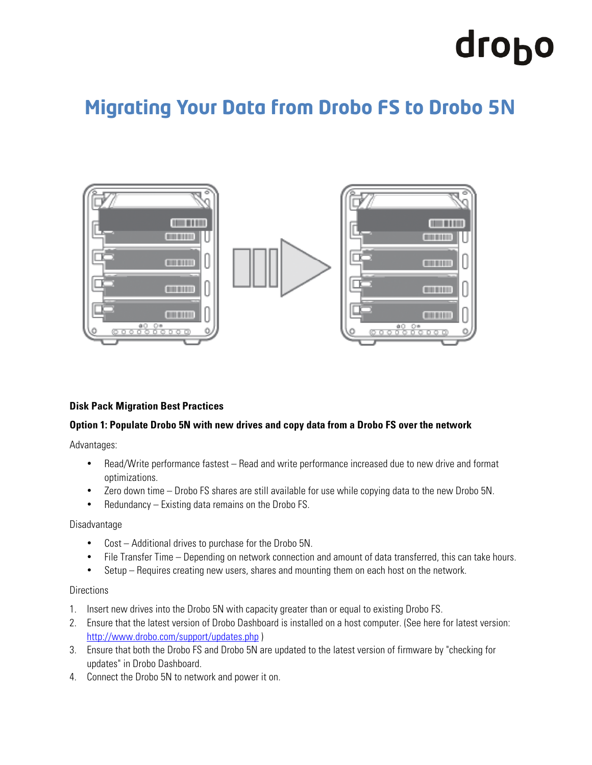# drobo

# **Migrating Your Data from Drobo FS to Drobo 5N**



## **Disk Pack Migration Best Practices**

#### **Option 1: Populate Drobo 5N with new drives and copy data from a Drobo FS over the network**

Advantages:

- Read/Write performance fastest Read and write performance increased due to new drive and format optimizations.
- Zero down time Drobo FS shares are still available for use while copying data to the new Drobo 5N.
- Redundancy Existing data remains on the Drobo FS.

#### Disadvantage

- Cost Additional drives to purchase for the Drobo 5N.
- File Transfer Time Depending on network connection and amount of data transferred, this can take hours.
- Setup Requires creating new users, shares and mounting them on each host on the network.

#### **Directions**

- 1. Insert new drives into the Drobo 5N with capacity greater than or equal to existing Drobo FS.
- 2. Ensure that the latest version of Drobo Dashboard is installed on a host computer. (See here for latest version: http://www.drobo.com/support/updates.php )
- 3. Ensure that both the Drobo FS and Drobo 5N are updated to the latest version of firmware by "checking for updates" in Drobo Dashboard.
- 4. Connect the Drobo 5N to network and power it on.